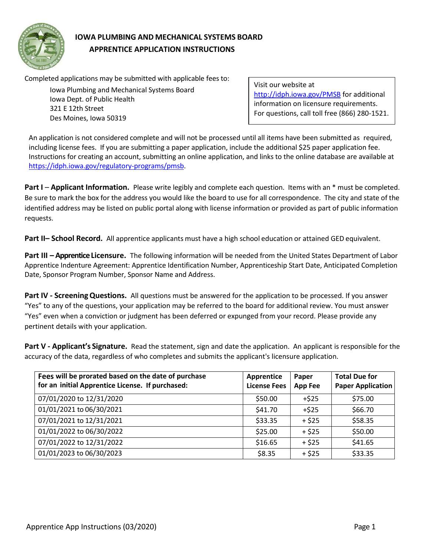

# **IOWA PLUMBING AND MECHANICAL SYSTEMS BOARD APPRENTICE APPLICATION INSTRUCTIONS**

Completed applications may be submitted with applicable fees to:

Iowa Plumbing and Mechanical Systems Board Iowa Dept. of Public Health 321 E 12th Street Des Moines, Iowa 50319

Visit our website at <http://idph.iowa.gov/PMSB> for additional information on licensure requirements. For questions, call toll free (866) 280-1521.

An application is not considered complete and will not be processed until all items have been submitted as required, including license fees. If you are submitting a paper application, include the additional \$25 paper application fee. Instructions for creating an account, submitting an online application, and links to the online database are available at [https://idph.iowa.gov/regulatory-programs/pmsb.](https://idph.iowa.gov/regulatory-programs/pmsb)

**Part I – Applicant Information.** Please write legibly and complete each question. Items with an \* must be completed. Be sure to mark the box for the address you would like the board to use for all correspondence. The city and state of the identified address may be listed on public portal along with license information or provided as part of public information requests.

**Part II– School Record.** All apprentice applicants must have a high school education or attained GED equivalent.

**Part III – Apprentice Licensure.** The following information will be needed from the United States Department of Labor Apprentice Indenture Agreement: Apprentice Identification Number, Apprenticeship Start Date, Anticipated Completion Date, Sponsor Program Number, Sponsor Name and Address.

**Part IV - ScreeningQuestions.** All questions must be answered for the application to be processed. If you answer "Yes" to any of the questions, your application may be referred to the board for additional review. You must answer "Yes" even when a conviction or judgment has been deferred or expunged from your record. Please provide any pertinent details with your application.

**Part V - Applicant's Signature.** Read the statement, sign and date the application. An applicant is responsible for the accuracy of the data, regardless of who completes and submits the applicant's licensure application.

| Fees will be prorated based on the date of purchase<br>for an initial Apprentice License. If purchased: | Apprentice<br><b>License Fees</b> | Paper<br><b>App Fee</b> | <b>Total Due for</b><br><b>Paper Application</b> |
|---------------------------------------------------------------------------------------------------------|-----------------------------------|-------------------------|--------------------------------------------------|
| 07/01/2020 to 12/31/2020                                                                                | \$50.00                           | $+525$                  | \$75.00                                          |
| 01/01/2021 to 06/30/2021                                                                                | \$41.70                           | $+525$                  | \$66.70                                          |
| 07/01/2021 to 12/31/2021                                                                                | \$33.35                           | $+ $25$                 | \$58.35                                          |
| 01/01/2022 to 06/30/2022                                                                                | \$25.00                           | $+ $25$                 | \$50.00                                          |
| 07/01/2022 to 12/31/2022                                                                                | \$16.65                           | $+ $25$                 | \$41.65                                          |
| 01/01/2023 to 06/30/2023                                                                                | \$8.35                            | $+ $25$                 | \$33.35                                          |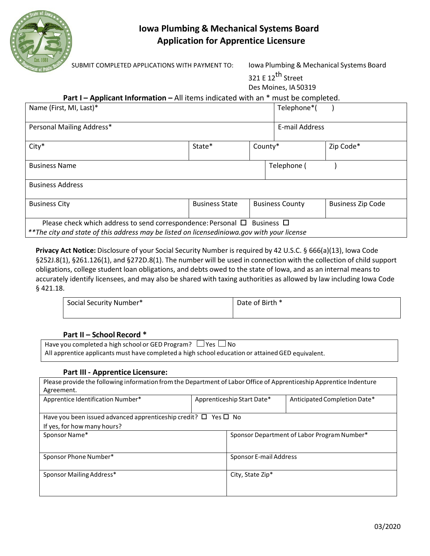

# **Iowa Plumbing & Mechanical Systems Board Application for Apprentice Licensure**

SUBMIT COMPLETED APPLICATIONS WITH PAYMENT TO: Iowa Plumbing & Mechanical Systems Board

| 321 E 12 <sup>th</sup> Street |
|-------------------------------|
| Des Moines, IA 50319          |

## **Part I – Applicant Information –** All items indicated with an \* must be completed.

| Name (First, MI, Last)*                                                                     |                       |            | Telephone*(            |                          |
|---------------------------------------------------------------------------------------------|-----------------------|------------|------------------------|--------------------------|
|                                                                                             |                       |            |                        |                          |
| Personal Mailing Address*                                                                   |                       |            | E-mail Address         |                          |
|                                                                                             |                       |            |                        |                          |
| $City*$                                                                                     | State*                | County*    |                        | Zip Code*                |
|                                                                                             |                       |            |                        |                          |
| <b>Business Name</b>                                                                        |                       |            | Telephone (            |                          |
|                                                                                             |                       |            |                        |                          |
| <b>Business Address</b>                                                                     |                       |            |                        |                          |
|                                                                                             |                       |            |                        |                          |
| <b>Business City</b>                                                                        | <b>Business State</b> |            | <b>Business County</b> | <b>Business Zip Code</b> |
|                                                                                             |                       |            |                        |                          |
| Please check which address to send correspondence: Personal $\Box$                          |                       | Business □ |                        |                          |
| ** The city and state of this address may be listed on licensediniowa.gov with your license |                       |            |                        |                          |
|                                                                                             |                       |            |                        |                          |

**Privacy Act Notice:** Disclosure of your Social Security Number is required by 42 U.S.C. § 666(a)(13), Iowa Code §252J.8(1), §261.126(1), and §272D.8(1). The number will be used in connection with the collection of child support obligations, college student loan obligations, and debts owed to the state of Iowa, and as an internal means to accurately identify licensees, and may also be shared with taxing authorities as allowed by law including Iowa Code § 421.18.

| Social Security Number* | Date of Birth * |
|-------------------------|-----------------|
|                         |                 |

#### **Part II – School Record \***

Have you completed a high school or GED Program?  $\Box$  Yes  $\Box$  No All apprentice applicants must have completed a high school education or attained GED equivalent.

#### **Part III - Apprentice Licensure:**

| Please provide the following information from the Department of Labor Office of Apprenticeship Apprentice Indenture<br>Agreement. |                            |                               |                                             |
|-----------------------------------------------------------------------------------------------------------------------------------|----------------------------|-------------------------------|---------------------------------------------|
| Apprentice Identification Number*                                                                                                 | Apprenticeship Start Date* |                               | Anticipated Completion Date*                |
| Have you been issued advanced apprenticeship credit? $\Box$ Yes $\Box$ No                                                         |                            |                               |                                             |
| If yes, for how many hours?                                                                                                       |                            |                               |                                             |
| Sponsor Name*                                                                                                                     |                            |                               | Sponsor Department of Labor Program Number* |
| Sponsor Phone Number*                                                                                                             |                            | <b>Sponsor E-mail Address</b> |                                             |
| Sponsor Mailing Address*                                                                                                          |                            | City, State Zip*              |                                             |